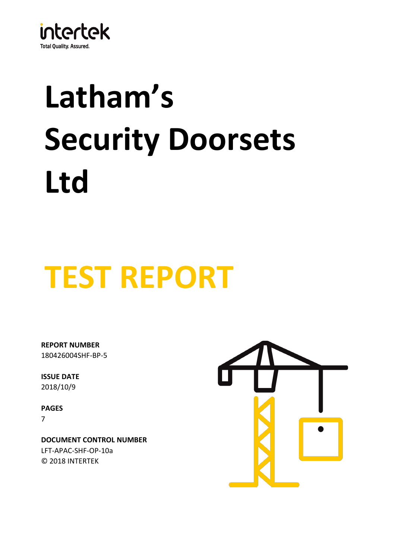

# **Latham's Security Doorsets Ltd**

## **TEST REPORT**

180426004SHF-BP-5 **REPORT NUMBER**

**ISSUE DATE** 2018/10/9

**PAGES** 7

© 2018 INTERTEK **DOCUMENT CONTROL NUMBER** LFT-APAC-SHF-OP-10a

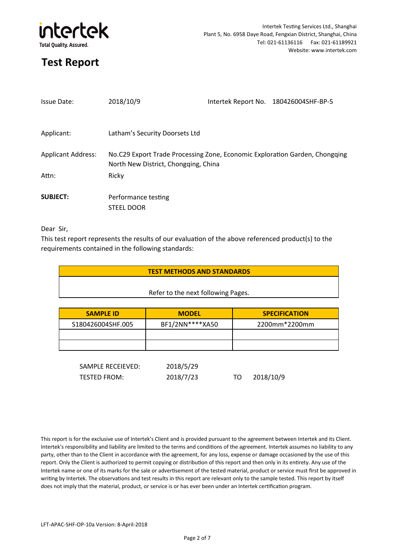

| <b>Issue Date:</b>        | 2018/10/9                                                                                                           | Intertek Report No. 180426004SHF-BP-5 |
|---------------------------|---------------------------------------------------------------------------------------------------------------------|---------------------------------------|
| Applicant:                | Latham's Security Doorsets Ltd                                                                                      |                                       |
| <b>Applicant Address:</b> | No.C29 Export Trade Processing Zone, Economic Exploration Garden, Chongqing<br>North New District, Chongging, China |                                       |
| Attn:                     | Ricky                                                                                                               |                                       |
| <b>SUBJECT:</b>           | Performance testing<br><b>STEEL DOOR</b>                                                                            |                                       |

Dear Sir,

This test report represents the results of our evaluation of the above referenced product(s) to the requirements contained in the following standards:

| <b>TEST METHODS AND STANDARDS</b> |  |  |  |
|-----------------------------------|--|--|--|
|                                   |  |  |  |

#### Refer to the next following Pages.

| <b>SAMPLE ID</b>  | <b>MODEL</b>    | <b>SPECIFICATION</b> |  |
|-------------------|-----------------|----------------------|--|
| S180426004SHF.005 | BF1/2NN****XA50 | 2200mm*2200mm        |  |
|                   |                 |                      |  |
|                   |                 |                      |  |

| SAMPLE RECEIEVED: | 2018/5/29 |      |           |
|-------------------|-----------|------|-----------|
| TESTED FROM:      | 2018/7/23 | TO T | 2018/10/9 |

This report is for the exclusive use of Intertek's Client and is provided pursuant to the agreement between Intertek and its Client. Intertek's responsibility and liability are limited to the terms and conditions of the agreement. Intertek assumes no liability to any party, other than to the Client in accordance with the agreement, for any loss, expense or damage occasioned by the use of this report. Only the Client is authorized to permit copying or distribution of this report and then only in its entirety. Any use of the Intertek name or one of its marks for the sale or advertisement of the tested material, product or service must first be approved in writing by Intertek. The observations and test results in this report are relevant only to the sample tested. This report by itself does not imply that the material, product, or service is or has ever been under an Intertek certification program.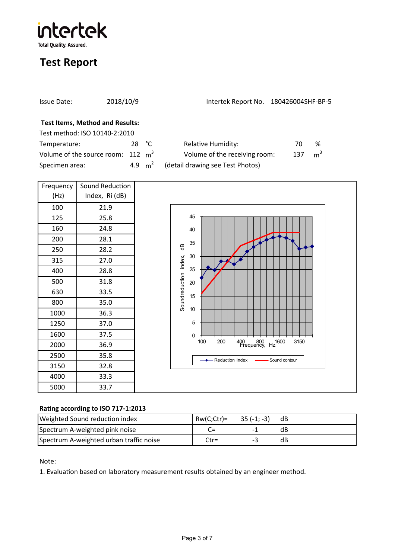intertek **Total Quality. Assured.** 

## **Test Report**

Specimen area:

| Issue Date:                                                             | 2018/10/9       | Intertek Report No. 180426004SHF-BP-5 |                       |  |
|-------------------------------------------------------------------------|-----------------|---------------------------------------|-----------------------|--|
| <b>Test Items, Method and Results:</b><br>Test method: ISO 10140-2:2010 |                 |                                       |                       |  |
| Temperature:                                                            | 28 $^{\circ}$ C | <b>Relative Humidity:</b>             | %<br>70               |  |
| Volume of the source room: $112 \text{ m}^3$                            |                 | Volume of the receiving room:         | m <sup>3</sup><br>137 |  |

4.9  $m^2$ 

(detail drawing see Test Photos)

| Frequency | Sound Reduction |  |
|-----------|-----------------|--|
| (Hz)      | Index, Ri (dB)  |  |
| 100       | 21.9            |  |
| 125       | 25.8            |  |
| 160       | 24.8            |  |
| 200       | 28.1            |  |
| 250       | 28.2            |  |
| 315       | 27.0            |  |
| 400       | 28.8            |  |
| 500       | 31.8            |  |
| 630       | 33.5            |  |
| 800       | 35.0            |  |
| 1000      | 36.3            |  |
| 1250      | 37.0            |  |
| 1600      | 37.5            |  |
| 2000      | 36.9            |  |
| 2500      | 35.8            |  |
| 3150      | 32.8            |  |
| 4000      | 33.3            |  |
| 5000      | 33.7            |  |



#### **Ra�ng according to ISO 717-1:2013**

| Weighted Sound reduction index          | $RW(C;ctr) = 35(-1; -3)$ |    | dB |
|-----------------------------------------|--------------------------|----|----|
| Spectrum A-weighted pink noise          | $C=$                     |    | dB |
| Spectrum A-weighted urban traffic noise | $C$ tr=                  | -- | dB |

Note:

1. Evaluation based on laboratory measurement results obtained by an engineer method.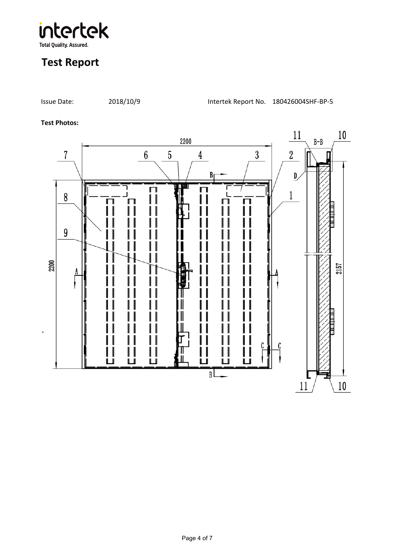

Issue Date: 2018/10/9 Intertek Report No. 180426004SHF-BP-5

#### **Test Photos:**

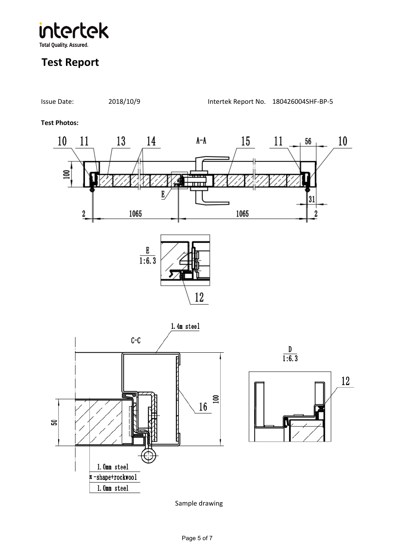intertek **Total Quality. Assured.** 

## **Test Report**



Issue Date: 2018/10/9 Intertek Report No. 180426004SHF-BP-5

Sample drawing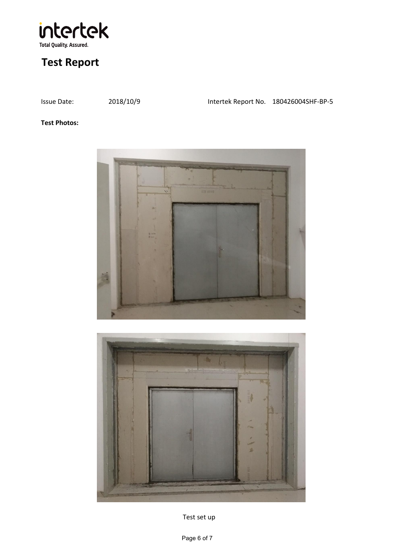

Issue Date: 2018/10/9 Intertek Report No. 180426004SHF-BP-5

#### **Test Photos:**





Test set up

Page 6 of 7